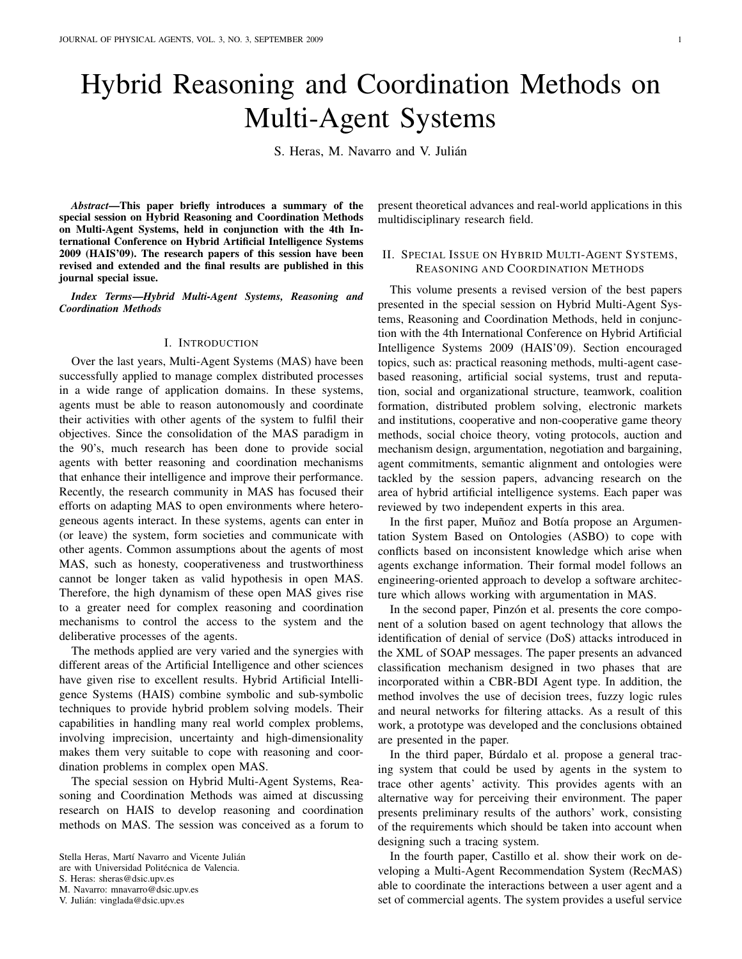# Hybrid Reasoning and Coordination Methods on Multi-Agent Systems

S. Heras, M. Navarro and V. Julián

*Abstract*—This paper briefly introduces a summary of the special session on Hybrid Reasoning and Coordination Methods on Multi-Agent Systems, held in conjunction with the 4th International Conference on Hybrid Artificial Intelligence Systems 2009 (HAIS'09). The research papers of this session have been revised and extended and the final results are published in this journal special issue.

*Index Terms*—*Hybrid Multi-Agent Systems, Reasoning and Coordination Methods*

### I. INTRODUCTION

Over the last years, Multi-Agent Systems (MAS) have been successfully applied to manage complex distributed processes in a wide range of application domains. In these systems, agents must be able to reason autonomously and coordinate their activities with other agents of the system to fulfil their objectives. Since the consolidation of the MAS paradigm in the 90's, much research has been done to provide social agents with better reasoning and coordination mechanisms that enhance their intelligence and improve their performance. Recently, the research community in MAS has focused their efforts on adapting MAS to open environments where heterogeneous agents interact. In these systems, agents can enter in (or leave) the system, form societies and communicate with other agents. Common assumptions about the agents of most MAS, such as honesty, cooperativeness and trustworthiness cannot be longer taken as valid hypothesis in open MAS. Therefore, the high dynamism of these open MAS gives rise to a greater need for complex reasoning and coordination mechanisms to control the access to the system and the deliberative processes of the agents.

The methods applied are very varied and the synergies with different areas of the Artificial Intelligence and other sciences have given rise to excellent results. Hybrid Artificial Intelligence Systems (HAIS) combine symbolic and sub-symbolic techniques to provide hybrid problem solving models. Their capabilities in handling many real world complex problems, involving imprecision, uncertainty and high-dimensionality makes them very suitable to cope with reasoning and coordination problems in complex open MAS.

The special session on Hybrid Multi-Agent Systems, Reasoning and Coordination Methods was aimed at discussing research on HAIS to develop reasoning and coordination methods on MAS. The session was conceived as a forum to present theoretical advances and real-world applications in this multidisciplinary research field.

## II. SPECIAL ISSUE ON HYBRID MULTI-AGENT SYSTEMS, REASONING AND COORDINATION METHODS

This volume presents a revised version of the best papers presented in the special session on Hybrid Multi-Agent Systems, Reasoning and Coordination Methods, held in conjunction with the 4th International Conference on Hybrid Artificial Intelligence Systems 2009 (HAIS'09). Section encouraged topics, such as: practical reasoning methods, multi-agent casebased reasoning, artificial social systems, trust and reputation, social and organizational structure, teamwork, coalition formation, distributed problem solving, electronic markets and institutions, cooperative and non-cooperative game theory methods, social choice theory, voting protocols, auction and mechanism design, argumentation, negotiation and bargaining, agent commitments, semantic alignment and ontologies were tackled by the session papers, advancing research on the area of hybrid artificial intelligence systems. Each paper was reviewed by two independent experts in this area.

In the first paper, Muñoz and Botía propose an Argumentation System Based on Ontologies (ASBO) to cope with conflicts based on inconsistent knowledge which arise when agents exchange information. Their formal model follows an engineering-oriented approach to develop a software architecture which allows working with argumentation in MAS.

In the second paper, Pinzón et al. presents the core component of a solution based on agent technology that allows the identification of denial of service (DoS) attacks introduced in the XML of SOAP messages. The paper presents an advanced classification mechanism designed in two phases that are incorporated within a CBR-BDI Agent type. In addition, the method involves the use of decision trees, fuzzy logic rules and neural networks for filtering attacks. As a result of this work, a prototype was developed and the conclusions obtained are presented in the paper.

In the third paper, Burdalo et al. propose a general tracing system that could be used by agents in the system to trace other agents' activity. This provides agents with an alternative way for perceiving their environment. The paper presents preliminary results of the authors' work, consisting of the requirements which should be taken into account when designing such a tracing system.

In the fourth paper, Castillo et al. show their work on developing a Multi-Agent Recommendation System (RecMAS) able to coordinate the interactions between a user agent and a set of commercial agents. The system provides a useful service

Stella Heras, Martí Navarro and Vicente Julián

are with Universidad Politécnica de Valencia.

S. Heras: sheras@dsic.upv.es

M. Navarro: mnavarro@dsic.upv.es

V. Julian: vinglada@dsic.upv.es ´